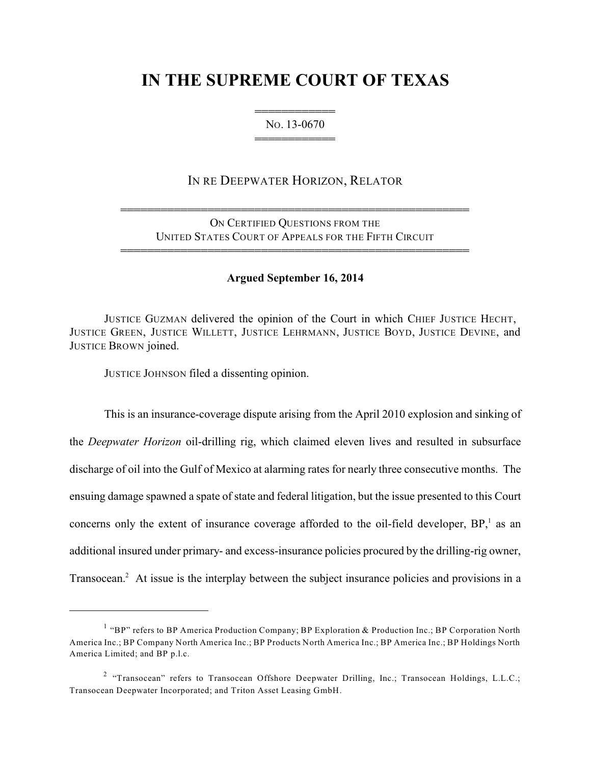# **IN THE SUPREME COURT OF TEXAS**

444444444444 NO. 13-0670 444444444444

# IN RE DEEPWATER HORIZON, RELATOR

ON CERTIFIED QUESTIONS FROM THE UNITED STATES COURT OF APPEALS FOR THE FIFTH CIRCUIT

4444444444444444444444444444444444444444444444444444

4444444444444444444444444444444444444444444444444444

### **Argued September 16, 2014**

JUSTICE GUZMAN delivered the opinion of the Court in which CHIEF JUSTICE HECHT, JUSTICE GREEN, JUSTICE WILLETT, JUSTICE LEHRMANN, JUSTICE BOYD, JUSTICE DEVINE, and JUSTICE BROWN joined.

JUSTICE JOHNSON filed a dissenting opinion.

This is an insurance-coverage dispute arising from the April 2010 explosion and sinking of the *Deepwater Horizon* oil-drilling rig, which claimed eleven lives and resulted in subsurface discharge of oil into the Gulf of Mexico at alarming rates for nearly three consecutive months. The ensuing damage spawned a spate of state and federal litigation, but the issue presented to this Court concerns only the extent of insurance coverage afforded to the oil-field developer,  $BP<sub>i</sub>$  as an additional insured under primary- and excess-insurance policies procured by the drilling-rig owner, Transocean.<sup>2</sup> At issue is the interplay between the subject insurance policies and provisions in a

<sup>&</sup>lt;sup>1</sup> "BP" refers to BP America Production Company; BP Exploration & Production Inc.; BP Corporation North America Inc.; BP Company North America Inc.; BP Products North America Inc.; BP America Inc.; BP Holdings North America Limited; and BP p.l.c.

<sup>&</sup>lt;sup>2</sup> "Transocean" refers to Transocean Offshore Deepwater Drilling, Inc.; Transocean Holdings, L.L.C.; Transocean Deepwater Incorporated; and Triton Asset Leasing GmbH.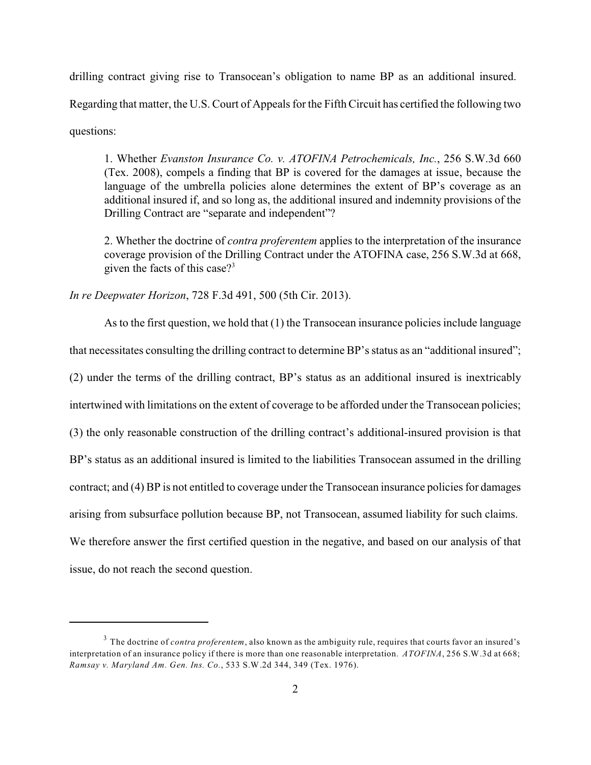drilling contract giving rise to Transocean's obligation to name BP as an additional insured. Regarding that matter, the U.S. Court of Appeals for the Fifth Circuit has certified the following two questions:

1. Whether *Evanston Insurance Co. v. ATOFINA Petrochemicals, Inc.*, 256 S.W.3d 660 (Tex. 2008), compels a finding that BP is covered for the damages at issue, because the language of the umbrella policies alone determines the extent of BP's coverage as an additional insured if, and so long as, the additional insured and indemnity provisions of the Drilling Contract are "separate and independent"?

2. Whether the doctrine of *contra proferentem* applies to the interpretation of the insurance coverage provision of the Drilling Contract under the ATOFINA case, 256 S.W.3d at 668, given the facts of this case? 3

*In re Deepwater Horizon*, 728 F.3d 491, 500 (5th Cir. 2013).

As to the first question, we hold that (1) the Transocean insurance policies include language that necessitates consulting the drilling contract to determine BP's status as an "additional insured"; (2) under the terms of the drilling contract, BP's status as an additional insured is inextricably intertwined with limitations on the extent of coverage to be afforded under the Transocean policies; (3) the only reasonable construction of the drilling contract's additional-insured provision is that BP's status as an additional insured is limited to the liabilities Transocean assumed in the drilling contract; and (4) BP is not entitled to coverage under the Transocean insurance policies for damages arising from subsurface pollution because BP, not Transocean, assumed liability for such claims. We therefore answer the first certified question in the negative, and based on our analysis of that issue, do not reach the second question.

<sup>&</sup>lt;sup>3</sup> The doctrine of *contra proferentem*, also known as the ambiguity rule, requires that courts favor an insured's interpretation of an insurance policy if there is more than one reasonable interpretation. *ATOFINA*, 256 S.W.3d at 668; *Ramsay v. Maryland Am. Gen. Ins. Co.*, 533 S.W.2d 344, 349 (Tex. 1976).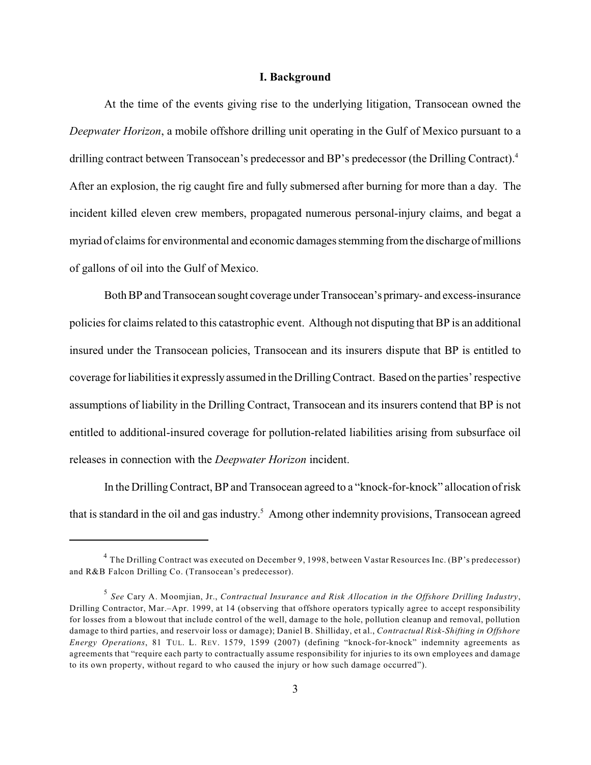#### **I. Background**

At the time of the events giving rise to the underlying litigation, Transocean owned the *Deepwater Horizon*, a mobile offshore drilling unit operating in the Gulf of Mexico pursuant to a drilling contract between Transocean's predecessor and BP's predecessor (the Drilling Contract).<sup>4</sup> After an explosion, the rig caught fire and fully submersed after burning for more than a day. The incident killed eleven crew members, propagated numerous personal-injury claims, and begat a myriad of claims for environmental and economic damages stemming from the discharge of millions of gallons of oil into the Gulf of Mexico.

Both BP and Transocean sought coverage under Transocean's primary- and excess-insurance policies for claims related to this catastrophic event. Although not disputing that BP is an additional insured under the Transocean policies, Transocean and its insurers dispute that BP is entitled to coverage for liabilities it expresslyassumed in the Drilling Contract. Based on the parties'respective assumptions of liability in the Drilling Contract, Transocean and its insurers contend that BP is not entitled to additional-insured coverage for pollution-related liabilities arising from subsurface oil releases in connection with the *Deepwater Horizon* incident.

In the Drilling Contract, BP and Transocean agreed to a "knock-for-knock" allocation of risk that is standard in the oil and gas industry.<sup>5</sup> Among other indemnity provisions, Transocean agreed

 $^4$  The Drilling Contract was executed on December 9, 1998, between Vastar Resources Inc. (BP's predecessor) and R&B Falcon Drilling Co. (Transocean's predecessor).

*See* Cary A. Moomjian, Jr., *Contractual Insurance and Risk Allocation in the Offshore Drilling Industry*, 5 Drilling Contractor, Mar.–Apr. 1999, at 14 (observing that offshore operators typically agree to accept responsibility for losses from a blowout that include control of the well, damage to the hole, pollution cleanup and removal, pollution damage to third parties, and reservoir loss or damage); Daniel B. Shilliday, et al., *Contractual Risk-Shifting in Offshore Energy Operations*, 81 TUL. L. REV. 1579, 1599 (2007) (defining "knock-for-knock" indemnity agreements as agreements that "require each party to contractually assume responsibility for injuries to its own employees and damage to its own property, without regard to who caused the injury or how such damage occurred").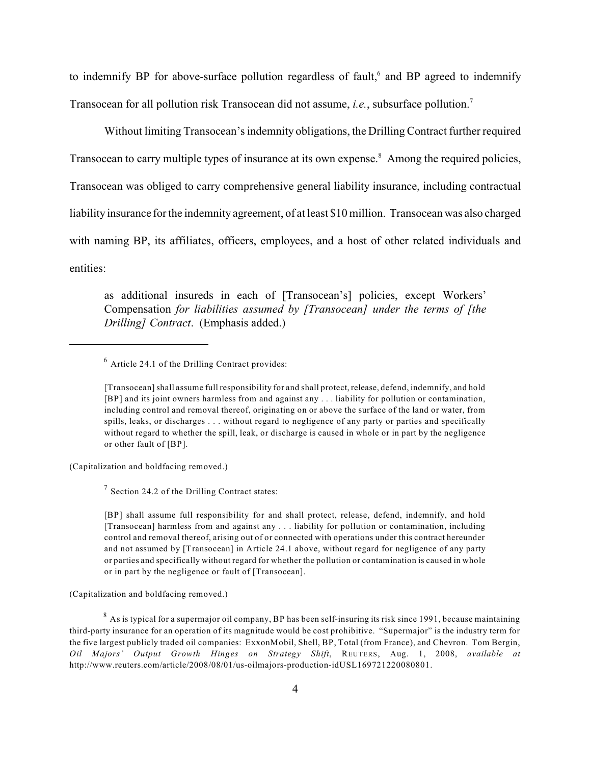to indemnify BP for above-surface pollution regardless of fault, $6$  and BP agreed to indemnify Transocean for all pollution risk Transocean did not assume, *i.e.*, subsurface pollution.<sup>7</sup>

Without limiting Transocean's indemnity obligations, the Drilling Contract further required Transocean to carry multiple types of insurance at its own expense.<sup>8</sup> Among the required policies, Transocean was obliged to carry comprehensive general liability insurance, including contractual liability insurance for the indemnity agreement, of at least \$10 million. Transocean was also charged with naming BP, its affiliates, officers, employees, and a host of other related individuals and entities:

as additional insureds in each of [Transocean's] policies, except Workers' Compensation *for liabilities assumed by [Transocean] under the terms of [the Drilling] Contract*. (Emphasis added.)

(Capitalization and boldfacing removed.)

 $\frac{7}{7}$  Section 24.2 of the Drilling Contract states:

[BP] shall assume full responsibility for and shall protect, release, defend, indemnify, and hold [Transocean] harmless from and against any . . . liability for pollution or contamination, including control and removal thereof, arising out of or connected with operations under this contract hereunder and not assumed by [Transocean] in Article 24.1 above, without regard for negligence of any party or parties and specifically without regard for whether the pollution or contamination is caused in whole or in part by the negligence or fault of [Transocean].

(Capitalization and boldfacing removed.)

 $^8$  As is typical for a supermajor oil company, BP has been self-insuring its risk since 1991, because maintaining third-party insurance for an operation of its magnitude would be cost prohibitive. "Supermajor" is the industry term for the five largest publicly traded oil companies: ExxonMobil, Shell, BP, Total (from France), and Chevron. Tom Bergin, *Oil Majors' Output Growth Hinges on Strategy Shift*, REUTERS, Aug. 1, 2008, *available at* http://www.reuters.com/article/2008/08/01/us-oilmajors-production-idUSL169721220080801.

 $<sup>6</sup>$  Article 24.1 of the Drilling Contract provides:</sup>

<sup>[</sup>Transocean] shall assume full responsibility for and shall protect, release, defend, indemnify, and hold [BP] and its joint owners harmless from and against any . . . liability for pollution or contamination, including control and removal thereof, originating on or above the surface of the land or water, from spills, leaks, or discharges . . . without regard to negligence of any party or parties and specifically without regard to whether the spill, leak, or discharge is caused in whole or in part by the negligence or other fault of [BP].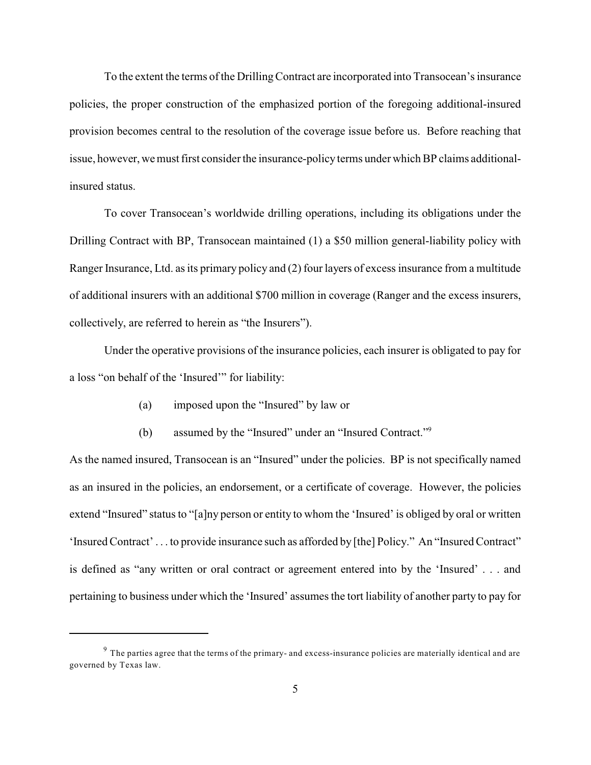To the extent the terms of the Drilling Contract are incorporated into Transocean's insurance policies, the proper construction of the emphasized portion of the foregoing additional-insured provision becomes central to the resolution of the coverage issue before us. Before reaching that issue, however, we must first consider the insurance-policy terms under which BP claims additionalinsured status.

To cover Transocean's worldwide drilling operations, including its obligations under the Drilling Contract with BP, Transocean maintained (1) a \$50 million general-liability policy with Ranger Insurance, Ltd. as its primary policy and (2) four layers of excess insurance from a multitude of additional insurers with an additional \$700 million in coverage (Ranger and the excess insurers, collectively, are referred to herein as "the Insurers").

Under the operative provisions of the insurance policies, each insurer is obligated to pay for a loss "on behalf of the 'Insured'" for liability:

- (a) imposed upon the "Insured" by law or
- (b) assumed by the "Insured" under an "Insured Contract."<sup>9</sup>

As the named insured, Transocean is an "Insured" under the policies. BP is not specifically named as an insured in the policies, an endorsement, or a certificate of coverage. However, the policies extend "Insured" status to "[a]ny person or entity to whom the 'Insured' is obliged by oral or written 'Insured Contract' . . . to provide insurance such as afforded by [the] Policy." An "Insured Contract" is defined as "any written or oral contract or agreement entered into by the 'Insured' . . . and pertaining to business under which the 'Insured' assumes the tort liability of another party to pay for

 $9$  The parties agree that the terms of the primary- and excess-insurance policies are materially identical and are governed by Texas law.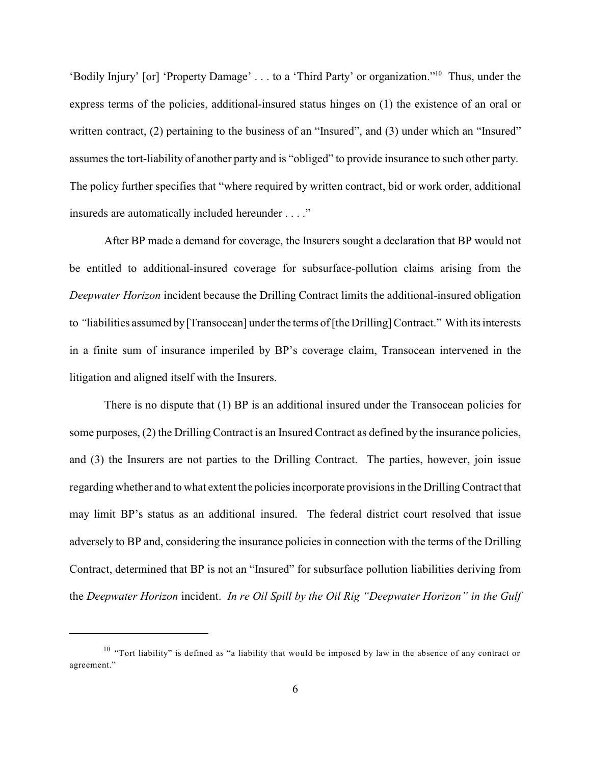'Bodily Injury' [or] 'Property Damage' . . . to a 'Third Party' or organization."<sup>10</sup> Thus, under the express terms of the policies, additional-insured status hinges on (1) the existence of an oral or written contract, (2) pertaining to the business of an "Insured", and (3) under which an "Insured" assumes the tort-liability of another party and is "obliged" to provide insurance to such other party. The policy further specifies that "where required by written contract, bid or work order, additional insureds are automatically included hereunder . . . ."

After BP made a demand for coverage, the Insurers sought a declaration that BP would not be entitled to additional-insured coverage for subsurface-pollution claims arising from the *Deepwater Horizon* incident because the Drilling Contract limits the additional-insured obligation to *"*liabilities assumed by[Transocean] under the terms of [the Drilling] Contract." With its interests in a finite sum of insurance imperiled by BP's coverage claim, Transocean intervened in the litigation and aligned itself with the Insurers.

There is no dispute that (1) BP is an additional insured under the Transocean policies for some purposes, (2) the Drilling Contract is an Insured Contract as defined by the insurance policies, and (3) the Insurers are not parties to the Drilling Contract. The parties, however, join issue regarding whether and to what extent the policies incorporate provisions in the Drilling Contract that may limit BP's status as an additional insured. The federal district court resolved that issue adversely to BP and, considering the insurance policies in connection with the terms of the Drilling Contract, determined that BP is not an "Insured" for subsurface pollution liabilities deriving from the *Deepwater Horizon* incident. *In re Oil Spill by the Oil Rig "Deepwater Horizon" in the Gulf*

 $10$  "Tort liability" is defined as "a liability that would be imposed by law in the absence of any contract or agreement."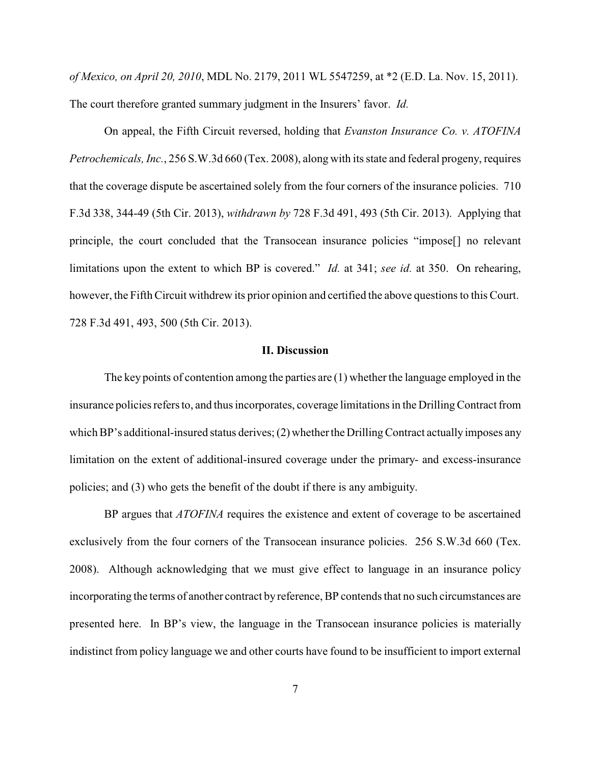*of Mexico, on April 20, 2010*, MDL No. 2179, 2011 WL 5547259, at \*2 (E.D. La. Nov. 15, 2011). The court therefore granted summary judgment in the Insurers' favor. *Id.*

On appeal, the Fifth Circuit reversed, holding that *Evanston Insurance Co. v. ATOFINA Petrochemicals, Inc.*, 256 S.W.3d 660 (Tex. 2008), along with its state and federal progeny, requires that the coverage dispute be ascertained solely from the four corners of the insurance policies. 710 F.3d 338, 344-49 (5th Cir. 2013), *withdrawn by* 728 F.3d 491, 493 (5th Cir. 2013). Applying that principle, the court concluded that the Transocean insurance policies "impose[] no relevant limitations upon the extent to which BP is covered." *Id.* at 341; *see id.* at 350. On rehearing, however, the Fifth Circuit withdrew its prior opinion and certified the above questions to this Court. 728 F.3d 491, 493, 500 (5th Cir. 2013).

## **II. Discussion**

The key points of contention among the parties are  $(1)$  whether the language employed in the insurance policies refers to, and thus incorporates, coverage limitations in the Drilling Contract from which BP's additional-insured status derives;  $(2)$  whether the Drilling Contract actually imposes any limitation on the extent of additional-insured coverage under the primary- and excess-insurance policies; and (3) who gets the benefit of the doubt if there is any ambiguity.

BP argues that *ATOFINA* requires the existence and extent of coverage to be ascertained exclusively from the four corners of the Transocean insurance policies. 256 S.W.3d 660 (Tex. 2008). Although acknowledging that we must give effect to language in an insurance policy incorporating the terms of another contract by reference, BP contends that no such circumstances are presented here. In BP's view, the language in the Transocean insurance policies is materially indistinct from policy language we and other courts have found to be insufficient to import external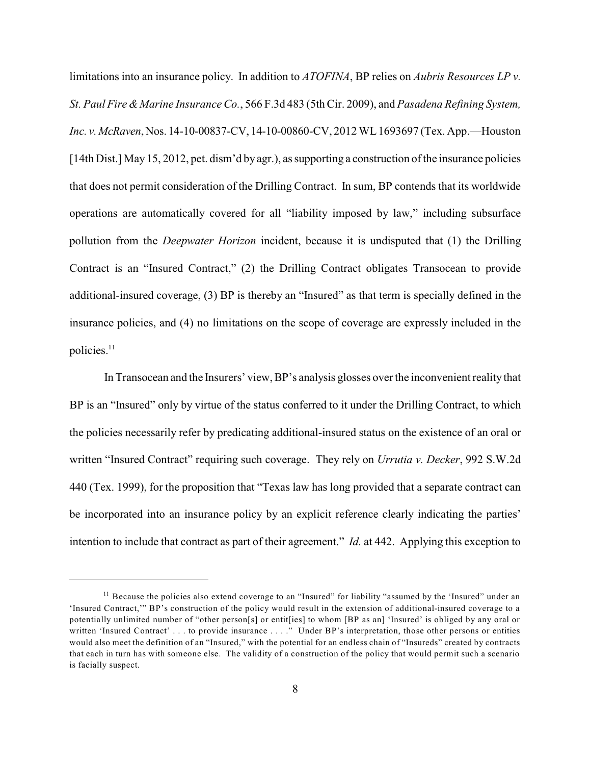limitations into an insurance policy. In addition to *ATOFINA*, BP relies on *Aubris Resources LP v. St. Paul Fire &Marine InsuranceCo.*, 566 F.3d 483 (5th Cir. 2009), and *Pasadena Refining System, Inc. v.McRaven*,Nos. 14-10-00837-CV, 14-10-00860-CV, 2012 WL1693697 (Tex. App.—Houston [14th Dist.] May 15, 2012, pet. dism'd by agr.), as supporting a construction of the insurance policies that does not permit consideration of the Drilling Contract. In sum, BP contends that its worldwide operations are automatically covered for all "liability imposed by law," including subsurface pollution from the *Deepwater Horizon* incident, because it is undisputed that (1) the Drilling Contract is an "Insured Contract," (2) the Drilling Contract obligates Transocean to provide additional-insured coverage, (3) BP is thereby an "Insured" as that term is specially defined in the insurance policies, and (4) no limitations on the scope of coverage are expressly included in the policies.<sup>11</sup>

In Transocean and the Insurers' view, BP's analysis glosses over the inconvenient reality that BP is an "Insured" only by virtue of the status conferred to it under the Drilling Contract, to which the policies necessarily refer by predicating additional-insured status on the existence of an oral or written "Insured Contract" requiring such coverage. They rely on *Urrutia v. Decker*, 992 S.W.2d 440 (Tex. 1999), for the proposition that "Texas law has long provided that a separate contract can be incorporated into an insurance policy by an explicit reference clearly indicating the parties' intention to include that contract as part of their agreement." *Id.* at 442. Applying this exception to

 $11$  Because the policies also extend coverage to an "Insured" for liability "assumed by the 'Insured" under an 'Insured Contract,'" BP's construction of the policy would result in the extension of additional-insured coverage to a potentially unlimited number of "other person[s] or entit[ies] to whom [BP as an] 'Insured' is obliged by any oral or written 'Insured Contract' . . . to provide insurance . . . ." Under BP's interpretation, those other persons or entities would also meet the definition of an "Insured," with the potential for an endless chain of "Insureds" created by contracts that each in turn has with someone else. The validity of a construction of the policy that would permit such a scenario is facially suspect.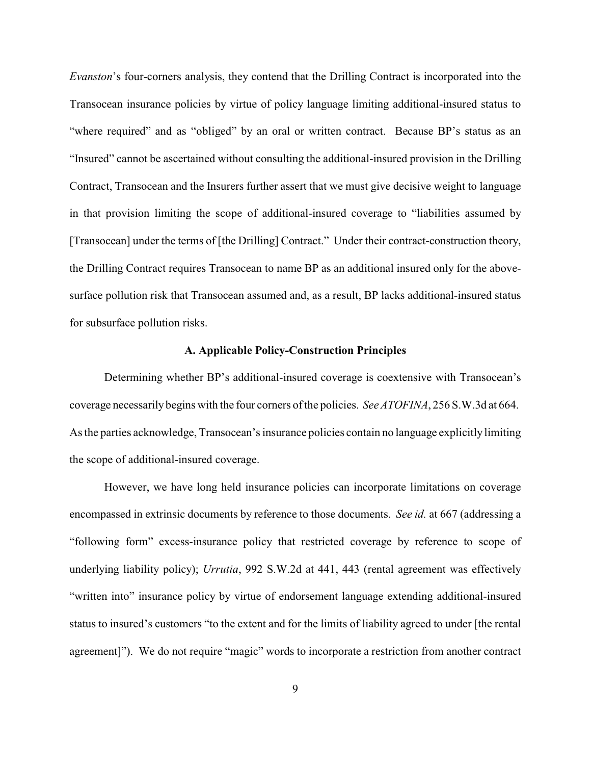*Evanston*'s four-corners analysis, they contend that the Drilling Contract is incorporated into the Transocean insurance policies by virtue of policy language limiting additional-insured status to "where required" and as "obliged" by an oral or written contract. Because BP's status as an "Insured" cannot be ascertained without consulting the additional-insured provision in the Drilling Contract, Transocean and the Insurers further assert that we must give decisive weight to language in that provision limiting the scope of additional-insured coverage to "liabilities assumed by [Transocean] under the terms of [the Drilling] Contract." Under their contract-construction theory, the Drilling Contract requires Transocean to name BP as an additional insured only for the abovesurface pollution risk that Transocean assumed and, as a result, BP lacks additional-insured status for subsurface pollution risks.

## **A. Applicable Policy-Construction Principles**

Determining whether BP's additional-insured coverage is coextensive with Transocean's coverage necessarilybegins with the four corners of the policies. *See ATOFINA*, 256 S.W.3d at 664. As the parties acknowledge, Transocean's insurance policies contain no language explicitly limiting the scope of additional-insured coverage.

However, we have long held insurance policies can incorporate limitations on coverage encompassed in extrinsic documents by reference to those documents. *See id.* at 667 (addressing a "following form" excess-insurance policy that restricted coverage by reference to scope of underlying liability policy); *Urrutia*, 992 S.W.2d at 441, 443 (rental agreement was effectively "written into" insurance policy by virtue of endorsement language extending additional-insured status to insured's customers "to the extent and for the limits of liability agreed to under [the rental agreement]"). We do not require "magic" words to incorporate a restriction from another contract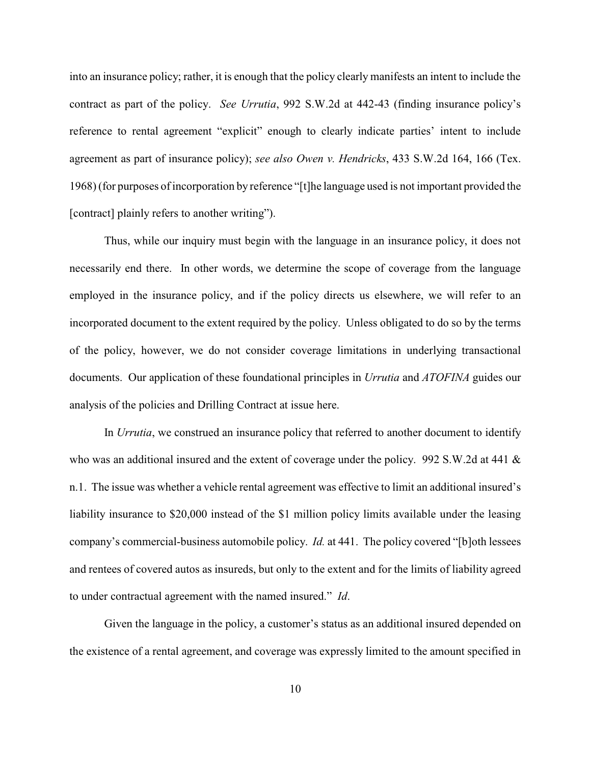into an insurance policy; rather, it is enough that the policy clearly manifests an intent to include the contract as part of the policy. *See Urrutia*, 992 S.W.2d at 442-43 (finding insurance policy's reference to rental agreement "explicit" enough to clearly indicate parties' intent to include agreement as part of insurance policy); *see also Owen v. Hendricks*, 433 S.W.2d 164, 166 (Tex. 1968) (for purposes of incorporation by reference "[t]he language used is not important provided the [contract] plainly refers to another writing").

Thus, while our inquiry must begin with the language in an insurance policy, it does not necessarily end there. In other words, we determine the scope of coverage from the language employed in the insurance policy, and if the policy directs us elsewhere, we will refer to an incorporated document to the extent required by the policy. Unless obligated to do so by the terms of the policy, however, we do not consider coverage limitations in underlying transactional documents. Our application of these foundational principles in *Urrutia* and *ATOFINA* guides our analysis of the policies and Drilling Contract at issue here.

In *Urrutia*, we construed an insurance policy that referred to another document to identify who was an additional insured and the extent of coverage under the policy. 992 S.W.2d at 441 & n.1. The issue was whether a vehicle rental agreement was effective to limit an additional insured's liability insurance to \$20,000 instead of the \$1 million policy limits available under the leasing company's commercial-business automobile policy. *Id.* at 441. The policy covered "[b]oth lessees and rentees of covered autos as insureds, but only to the extent and for the limits of liability agreed to under contractual agreement with the named insured." *Id*.

Given the language in the policy, a customer's status as an additional insured depended on the existence of a rental agreement, and coverage was expressly limited to the amount specified in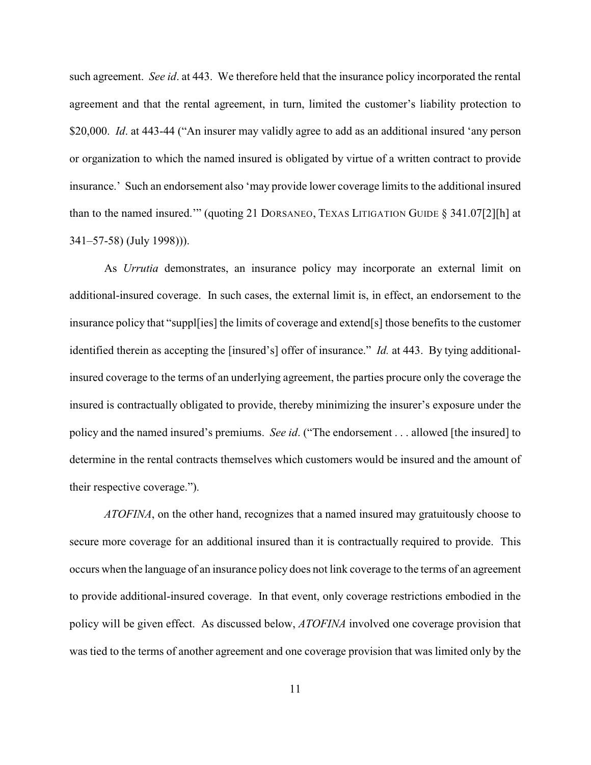such agreement. *See id*. at 443. We therefore held that the insurance policy incorporated the rental agreement and that the rental agreement, in turn, limited the customer's liability protection to \$20,000. *Id.* at 443-44 ("An insurer may validly agree to add as an additional insured 'any person or organization to which the named insured is obligated by virtue of a written contract to provide insurance.' Such an endorsement also 'may provide lower coverage limits to the additional insured than to the named insured.'" (quoting 21 DORSANEO, TEXAS LITIGATION GUIDE § 341.07[2][h] at 341–57-58) (July 1998))).

As *Urrutia* demonstrates, an insurance policy may incorporate an external limit on additional-insured coverage. In such cases, the external limit is, in effect, an endorsement to the insurance policy that "suppl[ies] the limits of coverage and extend[s] those benefits to the customer identified therein as accepting the [insured's] offer of insurance." *Id.* at 443. By tying additionalinsured coverage to the terms of an underlying agreement, the parties procure only the coverage the insured is contractually obligated to provide, thereby minimizing the insurer's exposure under the policy and the named insured's premiums. *See id*. ("The endorsement . . . allowed [the insured] to determine in the rental contracts themselves which customers would be insured and the amount of their respective coverage.").

*ATOFINA*, on the other hand, recognizes that a named insured may gratuitously choose to secure more coverage for an additional insured than it is contractually required to provide. This occurs when the language of an insurance policy does not link coverage to the terms of an agreement to provide additional-insured coverage. In that event, only coverage restrictions embodied in the policy will be given effect. As discussed below, *ATOFINA* involved one coverage provision that was tied to the terms of another agreement and one coverage provision that was limited only by the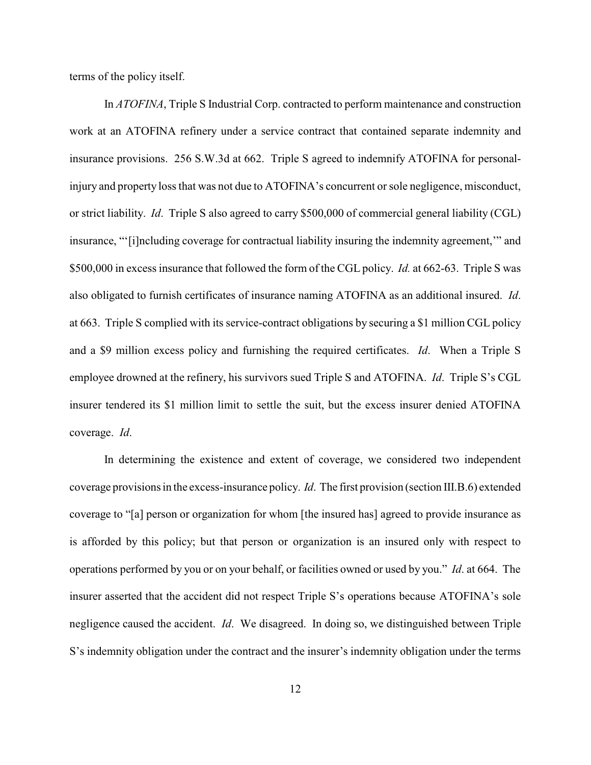terms of the policy itself.

In *ATOFINA*, Triple S Industrial Corp. contracted to perform maintenance and construction work at an ATOFINA refinery under a service contract that contained separate indemnity and insurance provisions. 256 S.W.3d at 662. Triple S agreed to indemnify ATOFINA for personalinjury and property loss that was not due to ATOFINA's concurrent or sole negligence, misconduct, or strict liability. *Id*. Triple S also agreed to carry \$500,000 of commercial general liability (CGL) insurance, "'[i]ncluding coverage for contractual liability insuring the indemnity agreement,'" and \$500,000 in excess insurance that followed the form of the CGL policy. *Id.* at 662-63. Triple S was also obligated to furnish certificates of insurance naming ATOFINA as an additional insured. *Id*. at 663. Triple S complied with its service-contract obligations by securing a \$1 million CGL policy and a \$9 million excess policy and furnishing the required certificates. *Id*. When a Triple S employee drowned at the refinery, his survivors sued Triple S and ATOFINA. *Id*. Triple S's CGL insurer tendered its \$1 million limit to settle the suit, but the excess insurer denied ATOFINA coverage. *Id*.

In determining the existence and extent of coverage, we considered two independent coverage provisions in the excess-insurance policy. *Id*. The first provision (section III.B.6) extended coverage to "[a] person or organization for whom [the insured has] agreed to provide insurance as is afforded by this policy; but that person or organization is an insured only with respect to operations performed by you or on your behalf, or facilities owned or used by you." *Id*. at 664. The insurer asserted that the accident did not respect Triple S's operations because ATOFINA's sole negligence caused the accident. *Id*. We disagreed. In doing so, we distinguished between Triple S's indemnity obligation under the contract and the insurer's indemnity obligation under the terms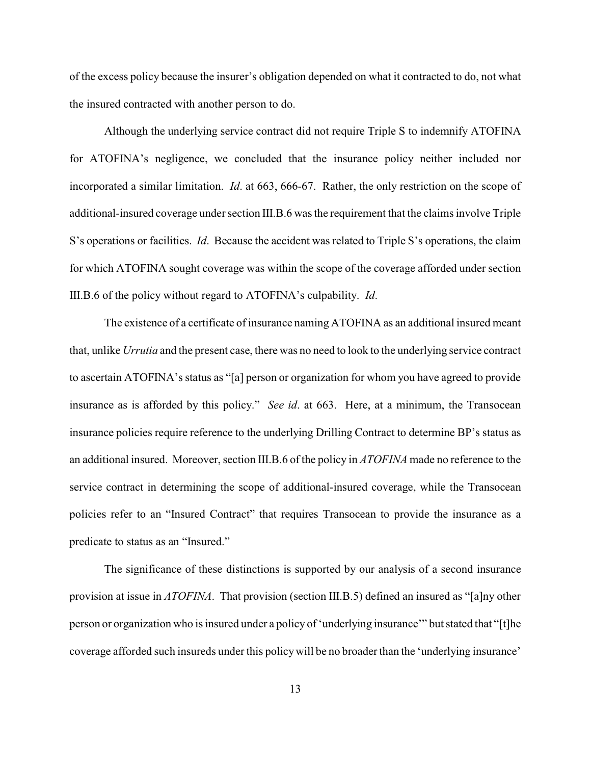of the excess policy because the insurer's obligation depended on what it contracted to do, not what the insured contracted with another person to do.

Although the underlying service contract did not require Triple S to indemnify ATOFINA for ATOFINA's negligence, we concluded that the insurance policy neither included nor incorporated a similar limitation. *Id*. at 663, 666-67. Rather, the only restriction on the scope of additional-insured coverage under section III.B.6 was the requirement that the claims involve Triple S's operations or facilities. *Id*. Because the accident was related to Triple S's operations, the claim for which ATOFINA sought coverage was within the scope of the coverage afforded under section III.B.6 of the policy without regard to ATOFINA's culpability. *Id*.

The existence of a certificate of insurance naming ATOFINA as an additional insured meant that, unlike *Urrutia* and the present case, there was no need to look to the underlying service contract to ascertain ATOFINA's status as "[a] person or organization for whom you have agreed to provide insurance as is afforded by this policy." *See id*. at 663. Here, at a minimum, the Transocean insurance policies require reference to the underlying Drilling Contract to determine BP's status as an additional insured. Moreover, section III.B.6 of the policy in *ATOFINA* made no reference to the service contract in determining the scope of additional-insured coverage, while the Transocean policies refer to an "Insured Contract" that requires Transocean to provide the insurance as a predicate to status as an "Insured."

The significance of these distinctions is supported by our analysis of a second insurance provision at issue in *ATOFINA*. That provision (section III.B.5) defined an insured as "[a]ny other person or organization who is insured under a policy of 'underlying insurance'" but stated that "[t]he coverage afforded such insureds under this policywill be no broader than the 'underlying insurance'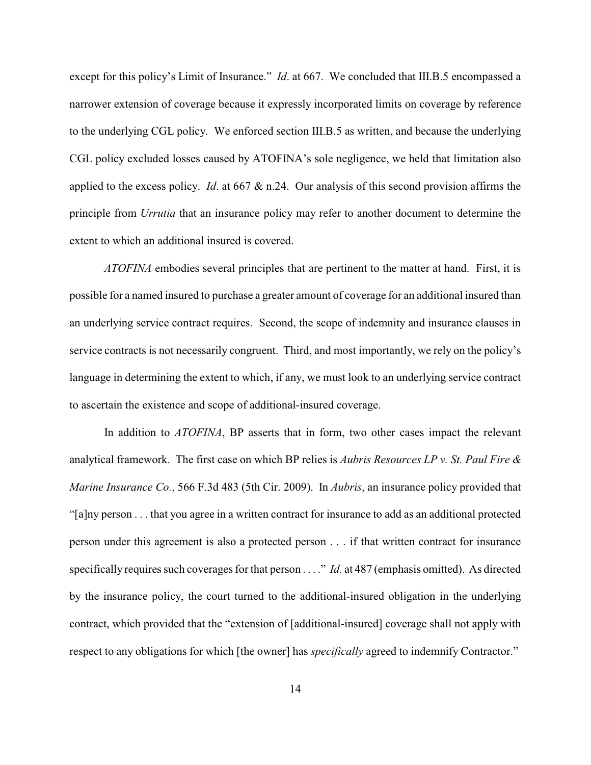except for this policy's Limit of Insurance." *Id.* at 667. We concluded that III.B.5 encompassed a narrower extension of coverage because it expressly incorporated limits on coverage by reference to the underlying CGL policy. We enforced section III.B.5 as written, and because the underlying CGL policy excluded losses caused by ATOFINA's sole negligence, we held that limitation also applied to the excess policy. *Id*. at 667 & n.24. Our analysis of this second provision affirms the principle from *Urrutia* that an insurance policy may refer to another document to determine the extent to which an additional insured is covered.

*ATOFINA* embodies several principles that are pertinent to the matter at hand. First, it is possible for a named insured to purchase a greater amount of coverage for an additional insured than an underlying service contract requires. Second, the scope of indemnity and insurance clauses in service contracts is not necessarily congruent. Third, and most importantly, we rely on the policy's language in determining the extent to which, if any, we must look to an underlying service contract to ascertain the existence and scope of additional-insured coverage.

In addition to *ATOFINA*, BP asserts that in form, two other cases impact the relevant analytical framework. The first case on which BP relies is *Aubris Resources LP v. St. Paul Fire & Marine Insurance Co.*, 566 F.3d 483 (5th Cir. 2009). In *Aubris*, an insurance policy provided that "[a]ny person . . . that you agree in a written contract for insurance to add as an additional protected person under this agreement is also a protected person . . . if that written contract for insurance specifically requires such coverages for that person . . . ." *Id.* at 487 (emphasis omitted). As directed by the insurance policy, the court turned to the additional-insured obligation in the underlying contract, which provided that the "extension of [additional-insured] coverage shall not apply with respect to any obligations for which [the owner] has *specifically* agreed to indemnify Contractor."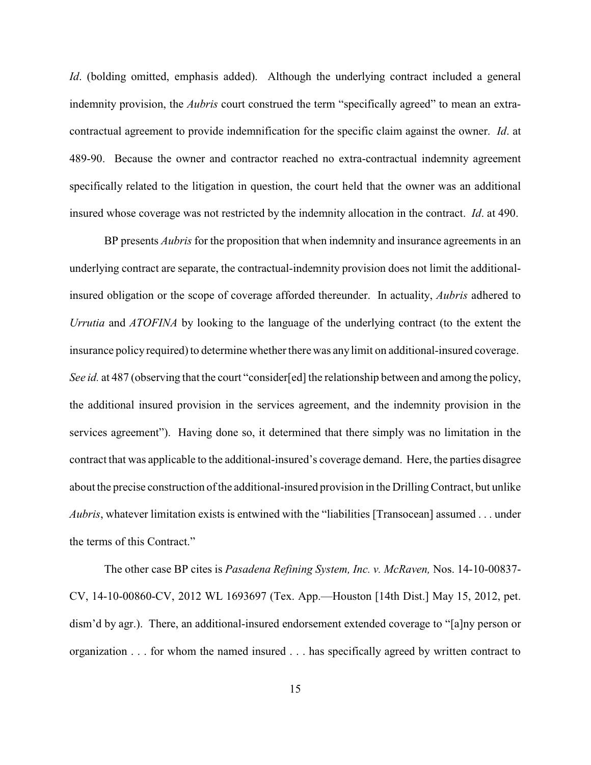*Id.* (bolding omitted, emphasis added). Although the underlying contract included a general indemnity provision, the *Aubris* court construed the term "specifically agreed" to mean an extracontractual agreement to provide indemnification for the specific claim against the owner. *Id*. at 489-90. Because the owner and contractor reached no extra-contractual indemnity agreement specifically related to the litigation in question, the court held that the owner was an additional insured whose coverage was not restricted by the indemnity allocation in the contract. *Id*. at 490.

BP presents *Aubris* for the proposition that when indemnity and insurance agreements in an underlying contract are separate, the contractual-indemnity provision does not limit the additionalinsured obligation or the scope of coverage afforded thereunder. In actuality, *Aubris* adhered to *Urrutia* and *ATOFINA* by looking to the language of the underlying contract (to the extent the insurance policy required) to determine whether there was any limit on additional-insured coverage. *See id.* at 487 (observing that the court "consider[ed] the relationship between and among the policy, the additional insured provision in the services agreement, and the indemnity provision in the services agreement"). Having done so, it determined that there simply was no limitation in the contract that was applicable to the additional-insured's coverage demand. Here, the parties disagree about the precise construction of the additional-insured provision in the Drilling Contract, but unlike *Aubris*, whatever limitation exists is entwined with the "liabilities [Transocean] assumed . . . under the terms of this Contract."

The other case BP cites is *Pasadena Refining System, Inc. v. McRaven,* Nos. 14-10-00837- CV, 14-10-00860-CV, 2012 WL 1693697 (Tex. App.—Houston [14th Dist.] May 15, 2012, pet. dism'd by agr.). There, an additional-insured endorsement extended coverage to "[a]ny person or organization . . . for whom the named insured . . . has specifically agreed by written contract to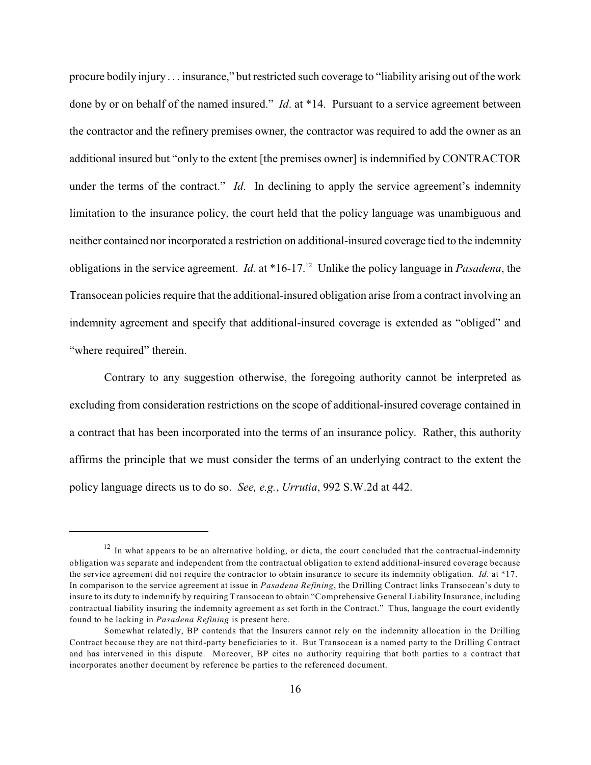procure bodily injury . . . insurance," but restricted such coverage to "liability arising out of the work done by or on behalf of the named insured." *Id*. at \*14. Pursuant to a service agreement between the contractor and the refinery premises owner, the contractor was required to add the owner as an additional insured but "only to the extent [the premises owner] is indemnified by CONTRACTOR under the terms of the contract." *Id*. In declining to apply the service agreement's indemnity limitation to the insurance policy, the court held that the policy language was unambiguous and neither contained nor incorporated a restriction on additional-insured coverage tied to the indemnity obligations in the service agreement. *Id.* at \*16-17.<sup>12</sup> Unlike the policy language in *Pasadena*, the Transocean policies require that the additional-insured obligation arise from a contract involving an indemnity agreement and specify that additional-insured coverage is extended as "obliged" and "where required" therein.

Contrary to any suggestion otherwise, the foregoing authority cannot be interpreted as excluding from consideration restrictions on the scope of additional-insured coverage contained in a contract that has been incorporated into the terms of an insurance policy. Rather, this authority affirms the principle that we must consider the terms of an underlying contract to the extent the policy language directs us to do so. *See, e.g.*, *Urrutia*, 992 S.W.2d at 442.

 $12$  In what appears to be an alternative holding, or dicta, the court concluded that the contractual-indemnity obligation was separate and independent from the contractual obligation to extend additional-insured coverage because the service agreement did not require the contractor to obtain insurance to secure its indemnity obligation. *Id.* at \*17. In comparison to the service agreement at issue in *Pasadena Refining*, the Drilling Contract links Transocean's duty to insure to its duty to indemnify by requiring Transocean to obtain "Comprehensive General Liability Insurance, including contractual liability insuring the indemnity agreement as set forth in the Contract." Thus, language the court evidently found to be lacking in *Pasadena Refining* is present here.

Somewhat relatedly, BP contends that the Insurers cannot rely on the indemnity allocation in the Drilling Contract because they are not third-party beneficiaries to it. But Transocean is a named party to the Drilling Contract and has intervened in this dispute. Moreover, BP cites no authority requiring that both parties to a contract that incorporates another document by reference be parties to the referenced document.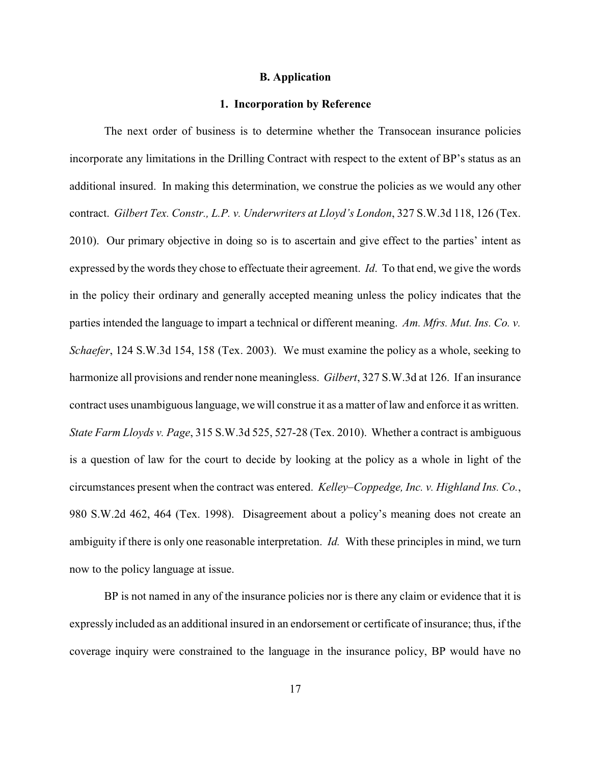#### **B. Application**

#### **1. Incorporation by Reference**

The next order of business is to determine whether the Transocean insurance policies incorporate any limitations in the Drilling Contract with respect to the extent of BP's status as an additional insured. In making this determination, we construe the policies as we would any other contract. *Gilbert Tex. Constr., L.P. v. Underwriters at Lloyd's London*, 327 S.W.3d 118, 126 (Tex. 2010). Our primary objective in doing so is to ascertain and give effect to the parties' intent as expressed by the words they chose to effectuate their agreement. *Id*. To that end, we give the words in the policy their ordinary and generally accepted meaning unless the policy indicates that the parties intended the language to impart a technical or different meaning. *Am. Mfrs. Mut. Ins. Co. v. Schaefer*, 124 S.W.3d 154, 158 (Tex. 2003). We must examine the policy as a whole, seeking to harmonize all provisions and render none meaningless. *Gilbert*, 327 S.W.3d at 126. If an insurance contract uses unambiguous language, we will construe it as a matter of law and enforce it as written. *State Farm Lloyds v. Page*, 315 S.W.3d 525, 527-28 (Tex. 2010). Whether a contract is ambiguous is a question of law for the court to decide by looking at the policy as a whole in light of the circumstances present when the contract was entered. *Kelley–Coppedge, Inc. v. Highland Ins. Co.*, 980 S.W.2d 462, 464 (Tex. 1998). Disagreement about a policy's meaning does not create an ambiguity if there is only one reasonable interpretation. *Id.* With these principles in mind, we turn now to the policy language at issue.

BP is not named in any of the insurance policies nor is there any claim or evidence that it is expressly included as an additional insured in an endorsement or certificate of insurance; thus, if the coverage inquiry were constrained to the language in the insurance policy, BP would have no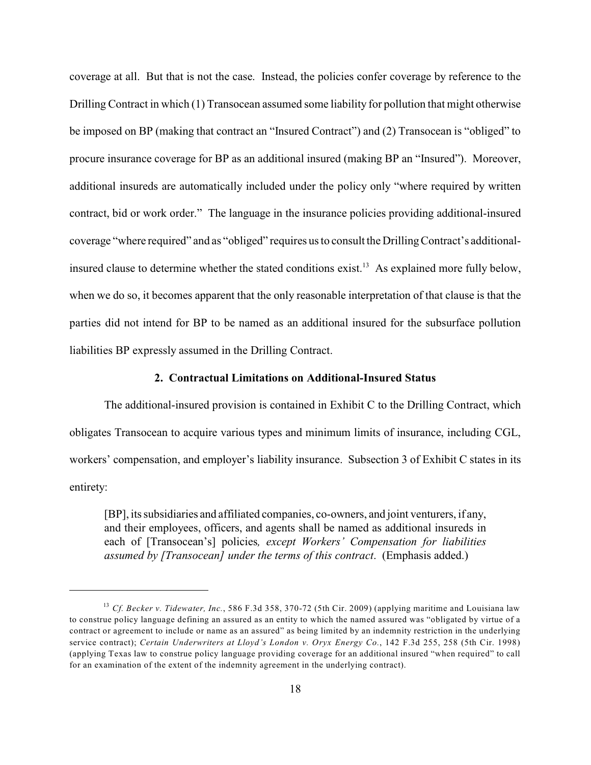coverage at all. But that is not the case. Instead, the policies confer coverage by reference to the Drilling Contract in which (1) Transocean assumed some liability for pollution that might otherwise be imposed on BP (making that contract an "Insured Contract") and (2) Transocean is "obliged" to procure insurance coverage for BP as an additional insured (making BP an "Insured"). Moreover, additional insureds are automatically included under the policy only "where required by written contract, bid or work order." The language in the insurance policies providing additional-insured coverage "where required" and as "obliged" requires us to consult the Drilling Contract's additionalinsured clause to determine whether the stated conditions exist.<sup>13</sup> As explained more fully below, when we do so, it becomes apparent that the only reasonable interpretation of that clause is that the parties did not intend for BP to be named as an additional insured for the subsurface pollution liabilities BP expressly assumed in the Drilling Contract.

## **2. Contractual Limitations on Additional-Insured Status**

The additional-insured provision is contained in Exhibit C to the Drilling Contract, which obligates Transocean to acquire various types and minimum limits of insurance, including CGL, workers' compensation, and employer's liability insurance. Subsection 3 of Exhibit C states in its entirety:

[BP], its subsidiaries and affiliated companies, co-owners, and joint venturers, if any, and their employees, officers, and agents shall be named as additional insureds in each of [Transocean's] policies*, except Workers' Compensation for liabilities assumed by [Transocean] under the terms of this contract*. (Emphasis added.)

*Cf. Becker v. Tidewater, Inc.*, 586 F.3d 358, 370-72 (5th Cir. 2009) (applying maritime and Louisiana law 13 to construe policy language defining an assured as an entity to which the named assured was "obligated by virtue of a contract or agreement to include or name as an assured" as being limited by an indemnity restriction in the underlying service contract); *Certain Underwriters at Lloyd's London v. Oryx Energy Co.*, 142 F.3d 255, 258 (5th Cir. 1998) (applying Texas law to construe policy language providing coverage for an additional insured "when required" to call for an examination of the extent of the indemnity agreement in the underlying contract).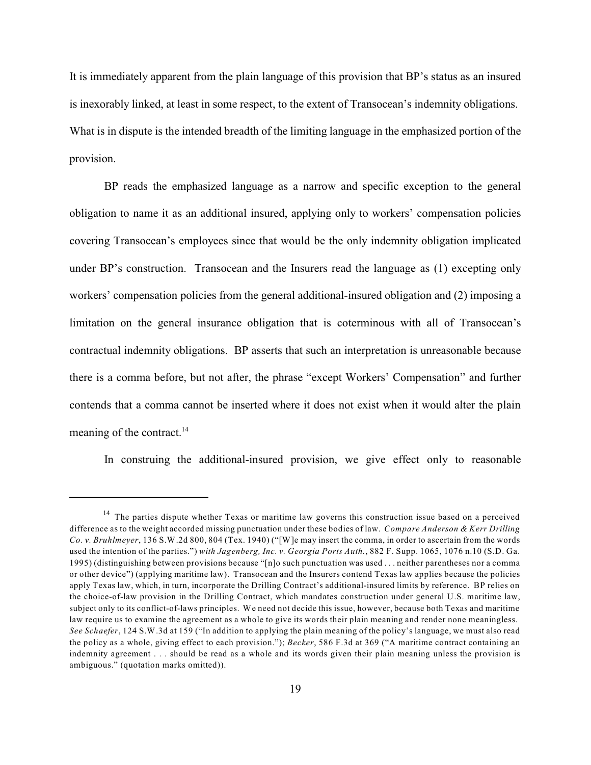It is immediately apparent from the plain language of this provision that BP's status as an insured is inexorably linked, at least in some respect, to the extent of Transocean's indemnity obligations. What is in dispute is the intended breadth of the limiting language in the emphasized portion of the provision.

BP reads the emphasized language as a narrow and specific exception to the general obligation to name it as an additional insured, applying only to workers' compensation policies covering Transocean's employees since that would be the only indemnity obligation implicated under BP's construction. Transocean and the Insurers read the language as (1) excepting only workers' compensation policies from the general additional-insured obligation and (2) imposing a limitation on the general insurance obligation that is coterminous with all of Transocean's contractual indemnity obligations. BP asserts that such an interpretation is unreasonable because there is a comma before, but not after, the phrase "except Workers' Compensation" and further contends that a comma cannot be inserted where it does not exist when it would alter the plain meaning of the contract. $^{14}$ 

In construing the additional-insured provision, we give effect only to reasonable

<sup>&</sup>lt;sup>14</sup> The parties dispute whether Texas or maritime law governs this construction issue based on a perceived difference as to the weight accorded missing punctuation under these bodies of law. *Compare Anderson & Kerr Drilling Co. v. Bruhlmeyer*, 136 S.W.2d 800, 804 (Tex. 1940) ("[W]e may insert the comma, in order to ascertain from the words used the intention of the parties.") *with Jagenberg, Inc. v. Georgia Ports Auth.*, 882 F. Supp. 1065, 1076 n.10 (S.D. Ga. 1995) (distinguishing between provisions because "[n]o such punctuation was used . . . neither parentheses nor a comma or other device") (applying maritime law). Transocean and the Insurers contend Texas law applies because the policies apply Texas law, which, in turn, incorporate the Drilling Contract's additional-insured limits by reference. BP relies on the choice-of-law provision in the Drilling Contract, which mandates construction under general U.S. maritime law, subject only to its conflict-of-laws principles. We need not decide this issue, however, because both Texas and maritime law require us to examine the agreement as a whole to give its words their plain meaning and render none meaningless. *See Schaefer*, 124 S.W.3d at 159 ("In addition to applying the plain meaning of the policy's language, we must also read the policy as a whole, giving effect to each provision."); *Becker*, 586 F.3d at 369 ("A maritime contract containing an indemnity agreement . . . should be read as a whole and its words given their plain meaning unless the provision is ambiguous." (quotation marks omitted)).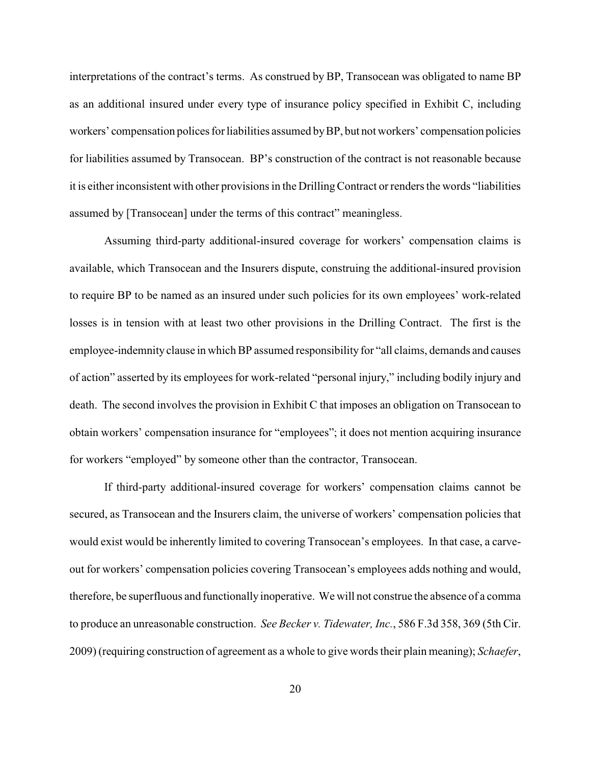interpretations of the contract's terms. As construed by BP, Transocean was obligated to name BP as an additional insured under every type of insurance policy specified in Exhibit C, including workers' compensation polices for liabilities assumed byBP, but not workers' compensation policies for liabilities assumed by Transocean. BP's construction of the contract is not reasonable because it is either inconsistent with other provisions in the Drilling Contract or renders the words "liabilities assumed by [Transocean] under the terms of this contract" meaningless.

Assuming third-party additional-insured coverage for workers' compensation claims is available, which Transocean and the Insurers dispute, construing the additional-insured provision to require BP to be named as an insured under such policies for its own employees' work-related losses is in tension with at least two other provisions in the Drilling Contract. The first is the employee-indemnity clause in which BP assumed responsibility for "all claims, demands and causes of action" asserted by its employees for work-related "personal injury," including bodily injury and death. The second involves the provision in Exhibit C that imposes an obligation on Transocean to obtain workers' compensation insurance for "employees"; it does not mention acquiring insurance for workers "employed" by someone other than the contractor, Transocean.

If third-party additional-insured coverage for workers' compensation claims cannot be secured, as Transocean and the Insurers claim, the universe of workers' compensation policies that would exist would be inherently limited to covering Transocean's employees. In that case, a carveout for workers' compensation policies covering Transocean's employees adds nothing and would, therefore, be superfluous and functionally inoperative. We will not construe the absence of a comma to produce an unreasonable construction. *See Becker v. Tidewater, Inc.*, 586 F.3d 358, 369 (5th Cir. 2009) (requiring construction of agreement as a whole to give words their plain meaning); *Schaefer*,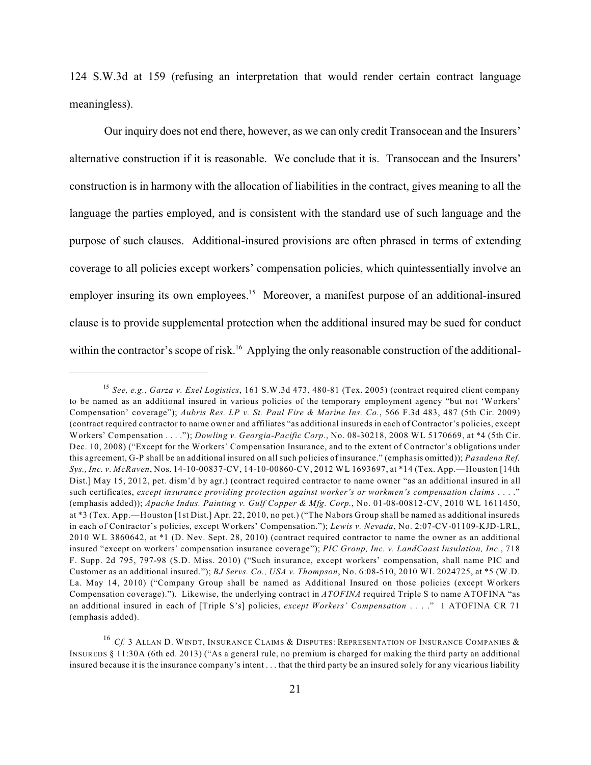124 S.W.3d at 159 (refusing an interpretation that would render certain contract language meaningless).

Our inquiry does not end there, however, as we can only credit Transocean and the Insurers' alternative construction if it is reasonable. We conclude that it is. Transocean and the Insurers' construction is in harmony with the allocation of liabilities in the contract, gives meaning to all the language the parties employed, and is consistent with the standard use of such language and the purpose of such clauses. Additional-insured provisions are often phrased in terms of extending coverage to all policies except workers' compensation policies, which quintessentially involve an employer insuring its own employees.<sup>15</sup> Moreover, a manifest purpose of an additional-insured clause is to provide supplemental protection when the additional insured may be sued for conduct within the contractor's scope of risk.<sup>16</sup> Applying the only reasonable construction of the additional-

*See, e.g.*, *Garza v. Exel Logistics*, 161 S.W.3d 473, 480-81 (Tex. 2005) (contract required client company 15 to be named as an additional insured in various policies of the temporary employment agency "but not 'Workers' Compensation' coverage"); *Aubris Res. LP v. St. Paul Fire & Marine Ins. Co.*, 566 F.3d 483, 487 (5th Cir. 2009) (contract required contractor to name owner and affiliates "as additional insureds in each of Contractor's policies, except Workers' Compensation . . . ."); *Dowling v. Georgia-Pacific Corp.*, No. 08-30218, 2008 WL 5170669, at \*4 (5th Cir. Dec. 10, 2008) ("Except for the Workers' Compensation Insurance, and to the extent of Contractor's obligations under this agreement, G-P shall be an additional insured on all such policies of insurance." (emphasis omitted)); *Pasadena Ref. Sys., Inc. v. McRaven*, Nos. 14-10-00837-CV, 14-10-00860-CV, 2012 WL 1693697, at \*14 (Tex. App.—Houston [14th Dist.] May 15, 2012, pet. dism'd by agr.) (contract required contractor to name owner "as an additional insured in all such certificates, *except insurance providing protection against worker's or workmen's compensation claims* . . . ." (emphasis added)); *Apache Indus. Painting v. Gulf Copper & Mfg. Corp.*, No. 01-08-00812-CV, 2010 WL 1611450, at \*3 (Tex. App.—Houston [1st Dist.] Apr. 22, 2010, no pet.) ("The Nabors Group shall be named as additional insureds in each of Contractor's policies, except Workers' Compensation."); *Lewis v. Nevada*, No. 2:07-CV-01109-KJD-LRL, 2010 WL 3860642, at \*1 (D. Nev. Sept. 28, 2010) (contract required contractor to name the owner as an additional insured "except on workers' compensation insurance coverage"); *PIC Group, Inc. v. LandCoast Insulation, Inc.*, 718 F. Supp. 2d 795, 797-98 (S.D. Miss. 2010) ("Such insurance, except workers' compensation, shall name PIC and Customer as an additional insured."); *BJ Servs. Co., USA v. Thompson*, No. 6:08-510, 2010 WL 2024725, at \*5 (W.D. La. May 14, 2010) ("Company Group shall be named as Additional Insured on those policies (except Workers Compensation coverage)."). Likewise, the underlying contract in *ATOFINA* required Triple S to name ATOFINA "as an additional insured in each of [Triple S's] policies, *except Workers' Compensation* . . . ." 1 ATOFINA CR 71 (emphasis added).

 $^{16}$  Cf. 3 Allan D. Windt, Insurance Claims & Disputes: Representation of Insurance Companies & INSUREDS § 11:30A (6th ed. 2013) ("As a general rule, no premium is charged for making the third party an additional insured because it is the insurance company's intent . . . that the third party be an insured solely for any vicarious liability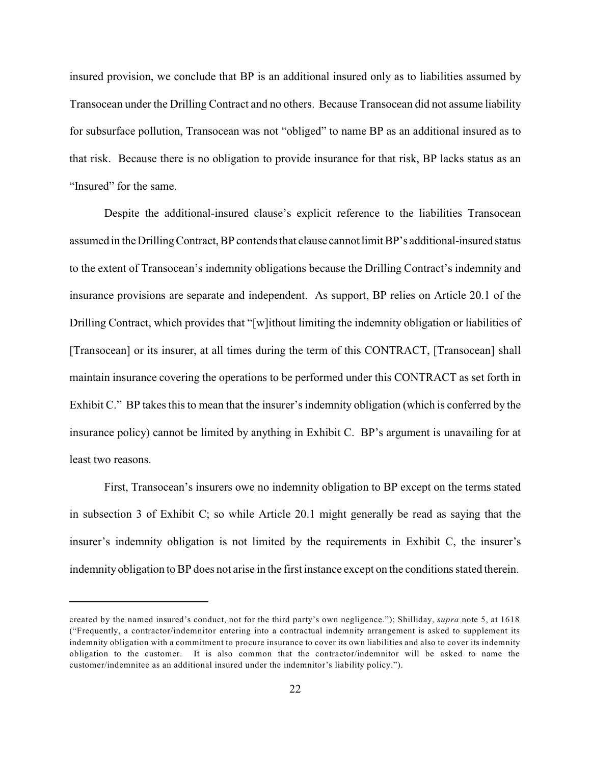insured provision, we conclude that BP is an additional insured only as to liabilities assumed by Transocean under the Drilling Contract and no others. Because Transocean did not assume liability for subsurface pollution, Transocean was not "obliged" to name BP as an additional insured as to that risk. Because there is no obligation to provide insurance for that risk, BP lacks status as an "Insured" for the same.

Despite the additional-insured clause's explicit reference to the liabilities Transocean assumed in the Drilling Contract, BP contends that clause cannot limitBP's additional-insured status to the extent of Transocean's indemnity obligations because the Drilling Contract's indemnity and insurance provisions are separate and independent. As support, BP relies on Article 20.1 of the Drilling Contract, which provides that "[w]ithout limiting the indemnity obligation or liabilities of [Transocean] or its insurer, at all times during the term of this CONTRACT, [Transocean] shall maintain insurance covering the operations to be performed under this CONTRACT as set forth in Exhibit C." BP takes this to mean that the insurer's indemnity obligation (which is conferred by the insurance policy) cannot be limited by anything in Exhibit C. BP's argument is unavailing for at least two reasons.

First, Transocean's insurers owe no indemnity obligation to BP except on the terms stated in subsection 3 of Exhibit C; so while Article 20.1 might generally be read as saying that the insurer's indemnity obligation is not limited by the requirements in Exhibit C, the insurer's indemnityobligation to BP does not arise in the first instance except on the conditions stated therein.

created by the named insured's conduct, not for the third party's own negligence."); Shilliday, *supra* note 5, at 1618 ("Frequently, a contractor/indemnitor entering into a contractual indemnity arrangement is asked to supplement its indemnity obligation with a commitment to procure insurance to cover its own liabilities and also to cover its indemnity obligation to the customer. It is also common that the contractor/indemnitor will be asked to name the customer/indemnitee as an additional insured under the indemnitor's liability policy.").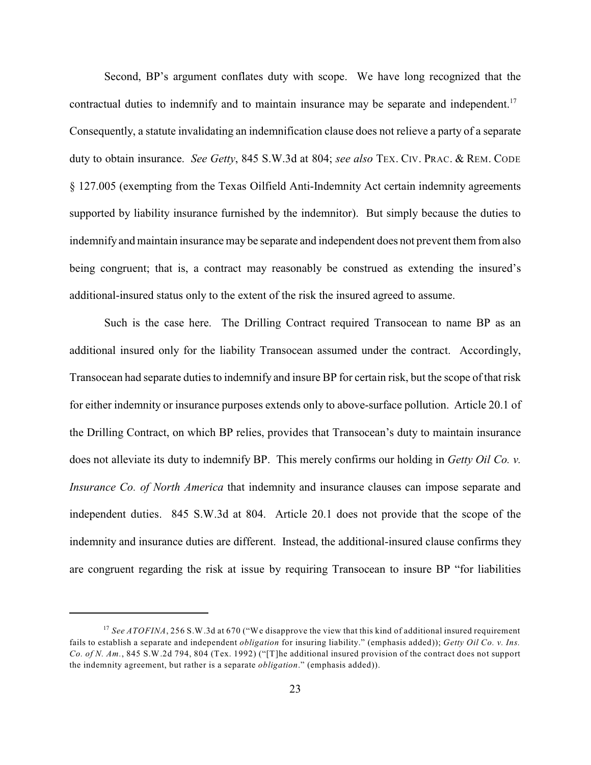Second, BP's argument conflates duty with scope. We have long recognized that the contractual duties to indemnify and to maintain insurance may be separate and independent.<sup>17</sup> Consequently, a statute invalidating an indemnification clause does not relieve a party of a separate duty to obtain insurance. *See Getty*, 845 S.W.3d at 804; *see also* TEX. CIV. PRAC. & REM. CODE § 127.005 (exempting from the Texas Oilfield Anti-Indemnity Act certain indemnity agreements supported by liability insurance furnished by the indemnitor). But simply because the duties to indemnify and maintain insurance may be separate and independent does not prevent them from also being congruent; that is, a contract may reasonably be construed as extending the insured's additional-insured status only to the extent of the risk the insured agreed to assume.

Such is the case here. The Drilling Contract required Transocean to name BP as an additional insured only for the liability Transocean assumed under the contract. Accordingly, Transocean had separate duties to indemnify and insure BP for certain risk, but the scope of that risk for either indemnity or insurance purposes extends only to above-surface pollution. Article 20.1 of the Drilling Contract, on which BP relies, provides that Transocean's duty to maintain insurance does not alleviate its duty to indemnify BP. This merely confirms our holding in *Getty Oil Co. v. Insurance Co. of North America* that indemnity and insurance clauses can impose separate and independent duties. 845 S.W.3d at 804. Article 20.1 does not provide that the scope of the indemnity and insurance duties are different. Instead, the additional-insured clause confirms they are congruent regarding the risk at issue by requiring Transocean to insure BP "for liabilities

<sup>&</sup>lt;sup>17</sup> See ATOFINA, 256 S.W.3d at 670 ("We disapprove the view that this kind of additional insured requirement fails to establish a separate and independent *obligation* for insuring liability." (emphasis added)); *Getty Oil Co. v. Ins. Co. of N. Am.*, 845 S.W.2d 794, 804 (Tex. 1992) ("[T]he additional insured provision of the contract does not support the indemnity agreement, but rather is a separate *obligation*." (emphasis added)).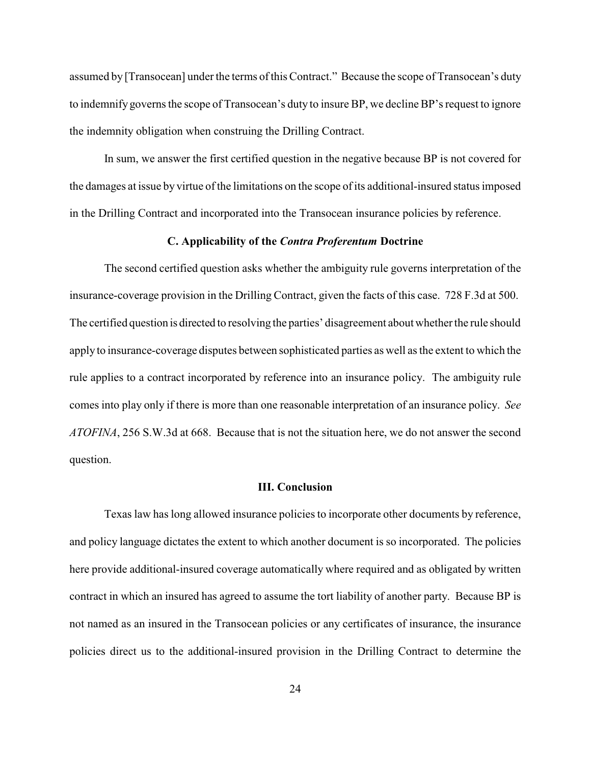assumed by [Transocean] under the terms of this Contract." Because the scope of Transocean's duty to indemnify governs the scope of Transocean's duty to insure BP, we decline BP's request to ignore the indemnity obligation when construing the Drilling Contract.

In sum, we answer the first certified question in the negative because BP is not covered for the damages at issue by virtue of the limitations on the scope of its additional-insured status imposed in the Drilling Contract and incorporated into the Transocean insurance policies by reference.

## **C. Applicability of the** *Contra Proferentum* **Doctrine**

The second certified question asks whether the ambiguity rule governs interpretation of the insurance-coverage provision in the Drilling Contract, given the facts of this case. 728 F.3d at 500. The certified question is directed to resolving the parties' disagreement about whether the rule should apply to insurance-coverage disputes between sophisticated parties as well as the extent to which the rule applies to a contract incorporated by reference into an insurance policy. The ambiguity rule comes into play only if there is more than one reasonable interpretation of an insurance policy. *See ATOFINA*, 256 S.W.3d at 668. Because that is not the situation here, we do not answer the second question.

#### **III. Conclusion**

Texas law has long allowed insurance policies to incorporate other documents by reference, and policy language dictates the extent to which another document is so incorporated. The policies here provide additional-insured coverage automatically where required and as obligated by written contract in which an insured has agreed to assume the tort liability of another party. Because BP is not named as an insured in the Transocean policies or any certificates of insurance, the insurance policies direct us to the additional-insured provision in the Drilling Contract to determine the